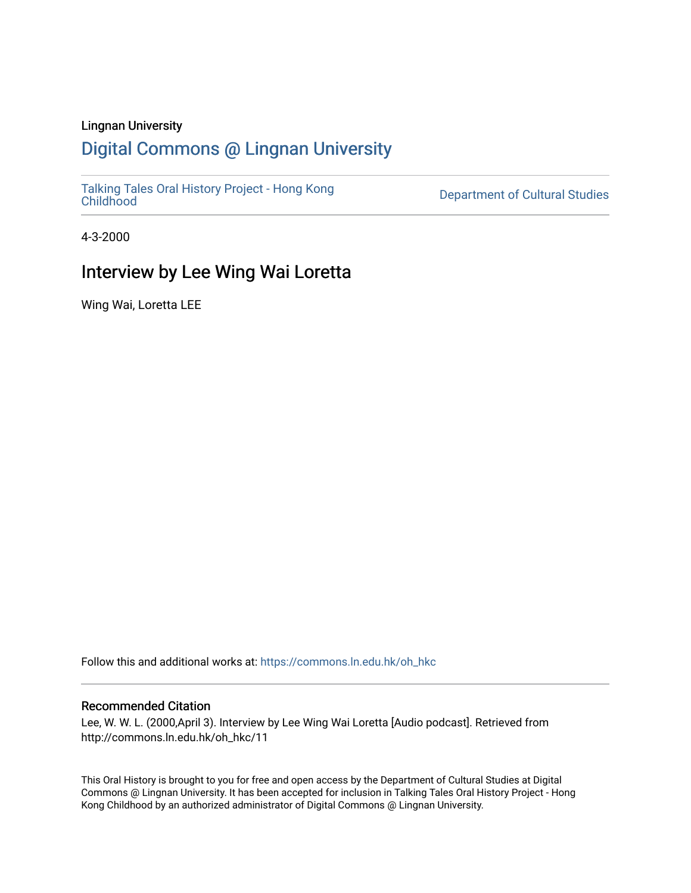### Lingnan University

## [Digital Commons @ Lingnan University](https://commons.ln.edu.hk/)

[Talking Tales Oral History Project - Hong Kong](https://commons.ln.edu.hk/oh_hkc)

Department of Cultural Studies

4-3-2000

## Interview by Lee Wing Wai Loretta

Wing Wai, Loretta LEE

Follow this and additional works at: [https://commons.ln.edu.hk/oh\\_hkc](https://commons.ln.edu.hk/oh_hkc?utm_source=commons.ln.edu.hk%2Foh_hkc%2F11&utm_medium=PDF&utm_campaign=PDFCoverPages) 

#### Recommended Citation

Lee, W. W. L. (2000,April 3). Interview by Lee Wing Wai Loretta [Audio podcast]. Retrieved from http://commons.ln.edu.hk/oh\_hkc/11

This Oral History is brought to you for free and open access by the Department of Cultural Studies at Digital Commons @ Lingnan University. It has been accepted for inclusion in Talking Tales Oral History Project - Hong Kong Childhood by an authorized administrator of Digital Commons @ Lingnan University.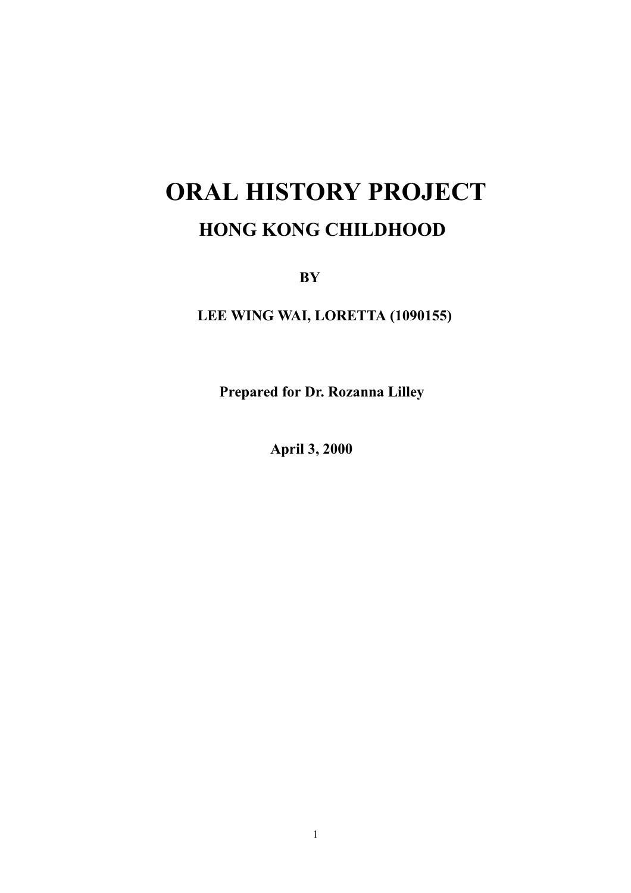# **ORAL HISTORY PROJECT HONG KONG CHILDHOOD**

 $BY$ 

LEE WING WAI, LORETTA (1090155)

Prepared for Dr. Rozanna Lilley

**April 3, 2000**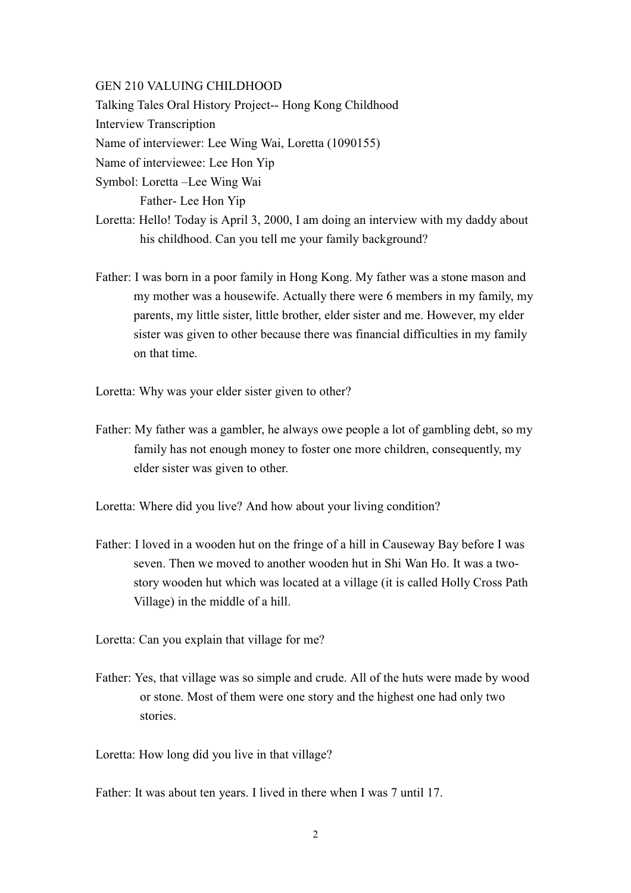#### **GEN 210 VALUING CHILDHOOD**

Talking Tales Oral History Project-- Hong Kong Childhood

**Interview Transcription** 

Name of interviewer: Lee Wing Wai, Loretta (1090155)

Name of interviewee: Lee Hon Yip

Symbol: Loretta - Lee Wing Wai

Father-Lee Hon Yip

- Loretta: Hello! Today is April 3, 2000, I am doing an interview with my daddy about his childhood. Can you tell me your family background?
- Father: I was born in a poor family in Hong Kong. My father was a stone mason and my mother was a housewife. Actually there were 6 members in my family, my parents, my little sister, little brother, elder sister and me. However, my elder sister was given to other because there was financial difficulties in my family on that time.

Loretta: Why was your elder sister given to other?

Father: My father was a gambler, he always owe people a lot of gambling debt, so my family has not enough money to foster one more children, consequently, my elder sister was given to other.

Loretta: Where did you live? And how about your living condition?

Father: I loved in a wooden hut on the fringe of a hill in Causeway Bay before I was seven. Then we moved to another wooden hut in Shi Wan Ho. It was a twostory wooden hut which was located at a village (it is called Holly Cross Path Village) in the middle of a hill.

Loretta: Can you explain that village for me?

Father: Yes, that village was so simple and crude. All of the huts were made by wood or stone. Most of them were one story and the highest one had only two stories.

Loretta: How long did you live in that village?

Father: It was about ten years. I lived in there when I was 7 until 17.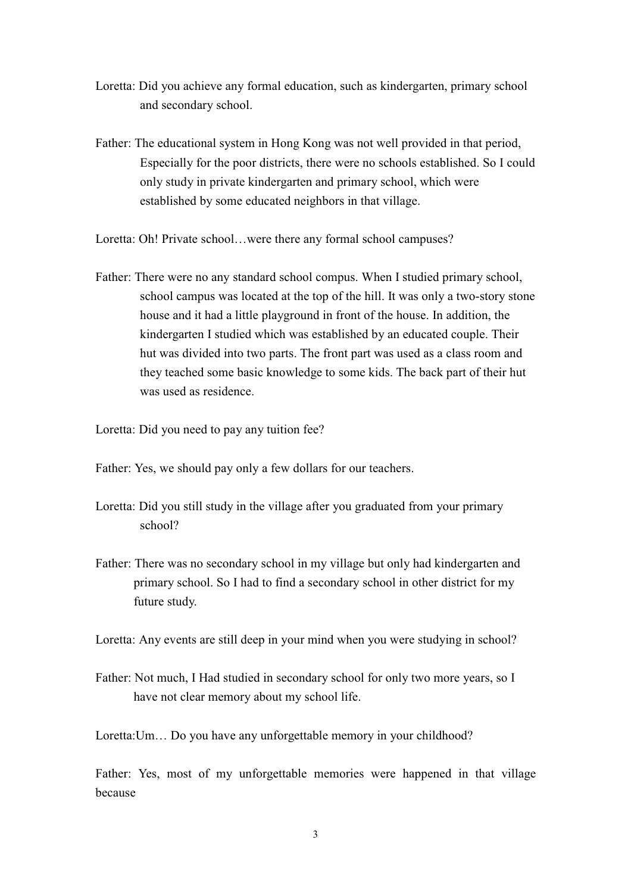- Loretta: Did you achieve any formal education, such as kindergarten, primary school and secondary school.
- Father: The educational system in Hong Kong was not well provided in that period, Especially for the poor districts, there were no schools established. So I could only study in private kindergarten and primary school, which were established by some educated neighbors in that village.
- Loretta: Oh! Private school...were there any formal school campuses?
- Father: There were no any standard school compus. When I studied primary school, school campus was located at the top of the hill. It was only a two-story stone house and it had a little playground in front of the house. In addition, the kindergarten I studied which was established by an educated couple. Their hut was divided into two parts. The front part was used as a class room and they teached some basic knowledge to some kids. The back part of their hut was used as residence.
- Loretta: Did you need to pay any tuition fee?
- Father: Yes, we should pay only a few dollars for our teachers.
- Loretta: Did you still study in the village after you graduated from your primary school?
- Father: There was no secondary school in my village but only had kindergarten and primary school. So I had to find a secondary school in other district for my future study.

Loretta: Any events are still deep in your mind when you were studying in school?

Father: Not much, I Had studied in secondary school for only two more years, so I have not clear memory about my school life.

Loretta: Um... Do you have any unforgettable memory in your childhood?

Father: Yes, most of my unforgettable memories were happened in that village hecause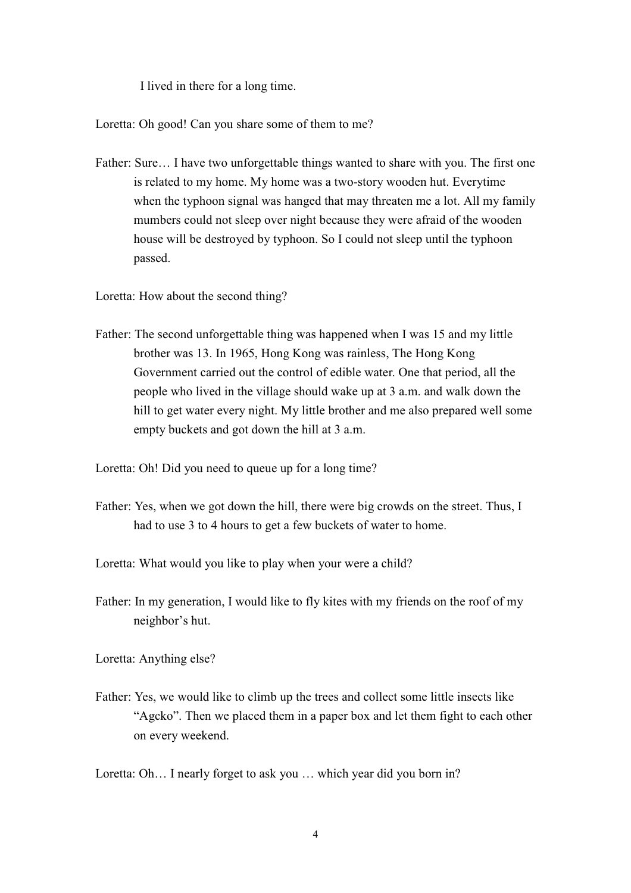I lived in there for a long time.

Loretta: Oh good! Can you share some of them to me?

Father: Sure... I have two unforgettable things wanted to share with you. The first one is related to my home. My home was a two-story wooden hut. Everytime when the typhoon signal was hanged that may threaten me a lot. All my family mumbers could not sleep over night because they were afraid of the wooden house will be destroyed by typhoon. So I could not sleep until the typhoon passed.

Loretta: How about the second thing?

Father: The second unforgettable thing was happened when I was 15 and my little brother was 13. In 1965, Hong Kong was rainless, The Hong Kong Government carried out the control of edible water. One that period, all the people who lived in the village should wake up at 3 a.m. and walk down the hill to get water every night. My little brother and me also prepared well some empty buckets and got down the hill at 3 a.m.

Loretta: Oh! Did you need to queue up for a long time?

Father: Yes, when we got down the hill, there were big crowds on the street. Thus, I had to use 3 to 4 hours to get a few buckets of water to home.

Loretta: What would you like to play when your were a child?

Father: In my generation, I would like to fly kites with my friends on the roof of my neighbor's hut.

Loretta: Anything else?

Father: Yes, we would like to climb up the trees and collect some little insects like "Agcko". Then we placed them in a paper box and let them fight to each other on every weekend.

Loretta: Oh... I nearly forget to ask you ... which year did you born in?